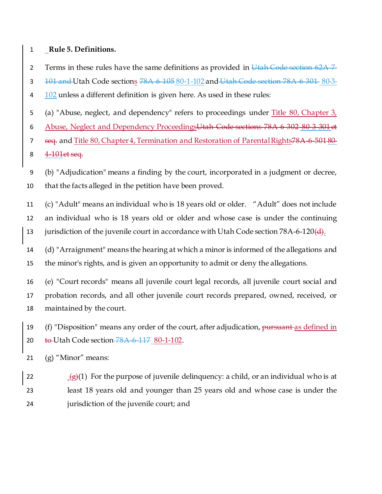## 1 **Rule 5. Definitions.**

2 Terms in these rules have the same definitions as provided in Utah Code section 62A-7-

- 3 101 and Utah Code sections 78A 6 105 80-1-102 and Utah Code section 78A 6 301 80-3-
- 4 102 unless a different definition is given here. As used in these rules:
- 5 (a) "Abuse, neglect, and dependency" refers to proceedings under Title 80, Chapter  $3<sub>t</sub>$
- 6 Abuse, Neglect and Dependency ProceedingsUtah Code sections 78A-6-302-80-3-301 et
- 7 seq. and Title 80, Chapter 4, Termination and Restoration of Parental Rights78A-6-501 80-

8 4 101 et seq.

- 9 (b) "Adjudication" means a finding by the court, incorporated in a judgment or decree, 10 that the facts alleged in the petition have been proved.
- 11 (c) "Adult" means an individual who is 18 years old or older. "Adult" does not include 12 an individual who is 18 years old or older and whose case is under the continuing 13 jurisdiction of the juvenile court in accordance with Utah Code section  $78A-6-120(d)$ .
- 14 (d) "Arraignment" means the hearing at which a minor is informed of the allegations and 15 the minor's rights, and is given an opportunity to admit or deny the allegations.
- 16 (e) "Court records" means all juvenile court legal records, all juvenile court social and 17 probation records, and all other juvenile court records prepared, owned, received, or 18 maintained by the court.
- 19 (f) "Disposition" means any order of the court, after adjudication, pursuant as defined in 20 to Utah Code section 78A 6 117 80-1-102.
- 21 (g) "Minor" means:
- 22  $(g)(1)$  For the purpose of juvenile delinquency: a child, or an individual who is at 23 least 18 years old and younger than 25 years old and whose case is under the 24 jurisdiction of the juvenile court; and